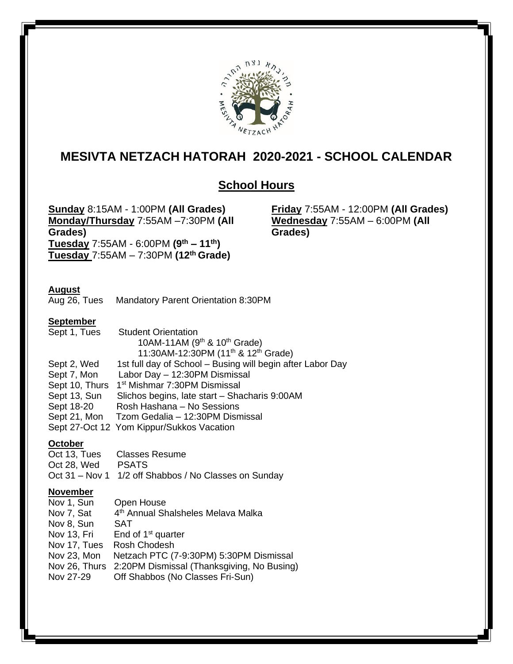

# **MESIVTA NETZACH HATORAH 2020-2021 - SCHOOL CALENDAR**

## **School Hours**

**Sunday** 8:15AM - 1:00PM **(All Grades) Monday/Thursday** 7:55AM –7:30PM **(All Grades)**  $\frac{3}{4}$  **Tuesday** 7:55AM - 6:00PM  $(9^{th} - 11^{th})$ **Tuesday** 7:55AM – 7:30PM **(12th Grade)** 

**Friday** 7:55AM - 12:00PM **(All Grades) Wednesday** 7:55AM – 6:00PM **(All Grades)**

## **August**

Aug 26, Tues Mandatory Parent Orientation 8:30PM

#### **September**

| Sept 1, Tues   | <b>Student Orientation</b>                                  |
|----------------|-------------------------------------------------------------|
|                | 10AM-11AM ( $9th$ & 10 <sup>th</sup> Grade)                 |
|                | 11:30AM-12:30PM (11 <sup>th</sup> & 12 <sup>th</sup> Grade) |
| Sept 2, Wed    | 1st full day of School - Busing will begin after Labor Day  |
| Sept 7, Mon    | Labor Day - 12:30PM Dismissal                               |
| Sept 10, Thurs | 1 <sup>st</sup> Mishmar 7:30PM Dismissal                    |
| Sept 13, Sun   | Slichos begins, late start - Shacharis 9:00AM               |
| Sept 18-20     | Rosh Hashana - No Sessions                                  |
| Sept 21, Mon   | Tzom Gedalia - 12:30PM Dismissal                            |
|                | Sept 27-Oct 12 Yom Kippur/Sukkos Vacation                   |

### **October**

| Oct 13, Tues | Classes Resume                                        |
|--------------|-------------------------------------------------------|
| Oct 28, Wed  | PSATS                                                 |
|              | Oct 31 – Nov 1 1/2 off Shabbos / No Classes on Sunday |

#### **November**

| Nov 1, Sun   | Open House                                               |
|--------------|----------------------------------------------------------|
| Nov 7, Sat   | 4 <sup>th</sup> Annual Shalsheles Melava Malka           |
| Nov 8, Sun   | SAT                                                      |
| Nov 13, Fri  | End of $1st$ quarter                                     |
| Nov 17, Tues | Rosh Chodesh                                             |
| Nov 23, Mon  | Netzach PTC (7-9:30PM) 5:30PM Dismissal                  |
|              | Nov 26, Thurs 2:20PM Dismissal (Thanksgiving, No Busing) |
| Nov 27-29    | Off Shabbos (No Classes Fri-Sun)                         |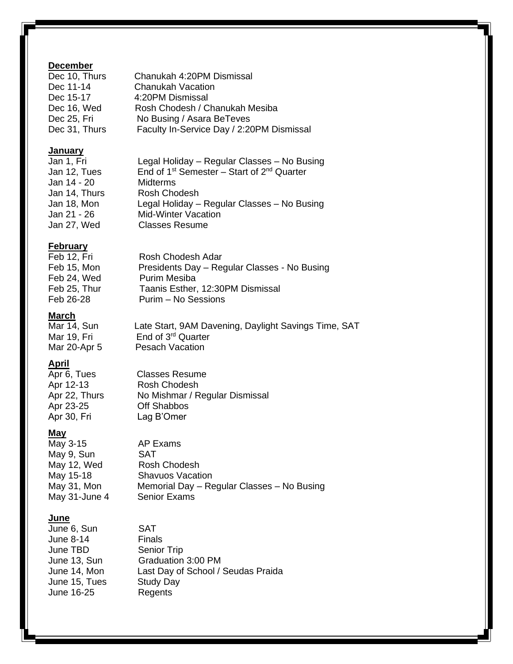## **December**

| Dec 10, Thurs | Chanukah 4:20PM Dismissal                 |
|---------------|-------------------------------------------|
| Dec 11-14     | <b>Chanukah Vacation</b>                  |
| Dec 15-17     | 4:20PM Dismissal                          |
| Dec 16, Wed   | Rosh Chodesh / Chanukah Mesiba            |
| Dec 25, Fri   | No Busing / Asara BeTeves                 |
| Dec 31, Thurs | Faculty In-Service Day / 2:20PM Dismissal |
|               |                                           |

#### **January**

| Jan 1, Fri    | Legal Holiday - Regular Classes - No Busing          |
|---------------|------------------------------------------------------|
| Jan 12, Tues  | End of $1^{st}$ Semester – Start of $2^{nd}$ Quarter |
| Jan 14 - 20   | <b>Midterms</b>                                      |
| Jan 14, Thurs | Rosh Chodesh                                         |
| Jan 18, Mon   | Legal Holiday - Regular Classes - No Busing          |
| Jan 21 - 26   | <b>Mid-Winter Vacation</b>                           |
| Jan 27, Wed   | <b>Classes Resume</b>                                |
|               |                                                      |

## **February**

| Feb 12, Fri  | Rosh Chodesh Adar                            |
|--------------|----------------------------------------------|
| Feb 15, Mon  | Presidents Day - Regular Classes - No Busing |
| Feb 24, Wed  | Purim Mesiba                                 |
| Feb 25, Thur | Taanis Esther, 12:30PM Dismissal             |
| Feb 26-28    | Purim - No Sessions                          |

### **March**

Mar 14, Sun Late Start, 9AM Davening, Daylight Savings Time, SAT Mar 19, Fri End of 3<sup>rd</sup> Quarter Mar 20-Apr 5 Pesach Vacation

## **April**

Apr 6, Tues Classes Resume Apr 12-13 Rosh Chodesh Apr 22, Thurs No Mishmar / Regular Dismissal Apr 23-25 Off Shabbos Apr 30, Fri Lag B'Omer

## **May**

 $\overline{\text{May}}$  3-15  $\overline{\text{AP}$  Exams May 9, Sun SAT May 12, Wed Rosh Chodesh May 15-18 Shavuos Vacation May 31, Mon Memorial Day – Regular Classes – No Busing May 31-June 4 Senior Exams

#### **June**

June 6, Sun SAT June 8-14 Finals June TBD Senior Trip June 13, Sun Graduation 3:00 PM<br>June 14, Mon Last Day of School / Last Day of School / Seudas Praida<br>Study Day June 15, Tues June 16-25 Regents